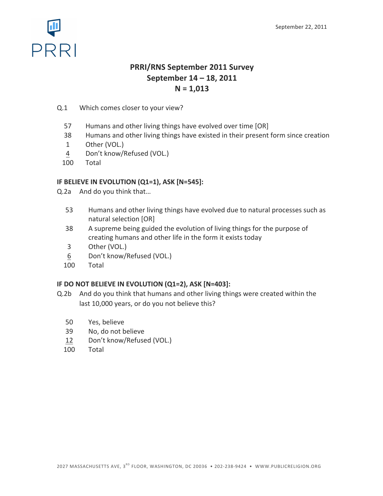

## **PRRI/RNS September 2011 Survey September 14 – 18, 2011 N = 1,013**

- Q.1 Which comes closer to your view?
	- 57 Humans and other living things have evolved over time [OR]
	- 38 Humans and other living things have existed in their present form since creation
	- 1 Other (VOL.)
	- 4 Don't know/Refused (VOL.)
	- 100 Total

## **IF BELIEVE IN EVOLUTION (Q1=1), ASK [N=545]:**

Q.2a And do you think that...

- 53 Humans and other living things have evolved due to natural processes such as natural selection [OR]
- 38 A supreme being guided the evolution of living things for the purpose of creating humans and other life in the form it exists today
- 3 Other (VOL.)
- 6 Don't know/Refused (VOL.)
- 100 Total

## **IF DO NOT BELIEVE IN EVOLUTION (Q1=2), ASK [N=403]:**

- Q.2b And do you think that humans and other living things were created within the last 10,000 years, or do you not believe this?
	- 50 Yes, believe
	- 39 No, do not believe
	- 12 Don't know/Refused (VOL.)
	- 100 Total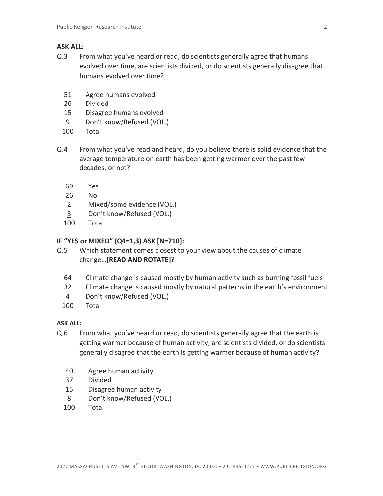#### **ASK ALL:**

- Q.3 From what you've heard or read, do scientists generally agree that humans evolved over time, are scientists divided, or do scientists generally disagree that humans evolved over time?
	- 51 Agree humans evolved
	- 26 Divided
	- 15 Disagree humans evolved
	- 9 Don't know/Refused (VOL.)
	- 100 Total
- Q.4 From what you've read and heard, do you believe there is solid evidence that the average temperature on earth has been getting warmer over the past few decades, or not?
	- 69 Yes
	- 26 No
	- 2 Mixed/some evidence (VOL.)
	- 3 Don't know/Refused (VOL.)
	- 100 Total

#### **IF "YES or MIXED" (Q4=1,3) ASK [N=710]:**

- Q.5 Which statement comes closest to your view about the causes of climate change…**[READ AND ROTATE]**?
	- 64 Climate change is caused mostly by human activity such as burning fossil fuels
	- 32 Climate change is caused mostly by natural patterns in the earth's environment
	- 4 Don't know/Refused (VOL.)
	- 100 Total

#### **ASK ALL:**

- Q.6 From what you've heard or read, do scientists generally agree that the earth is getting warmer because of human activity, are scientists divided, or do scientists generally disagree that the earth is getting warmer because of human activity?
	- 40 Agree human activity
	- 37 Divided
	- 15 Disagree human activity
	- 8 Don't know/Refused (VOL.)
	- 100 Total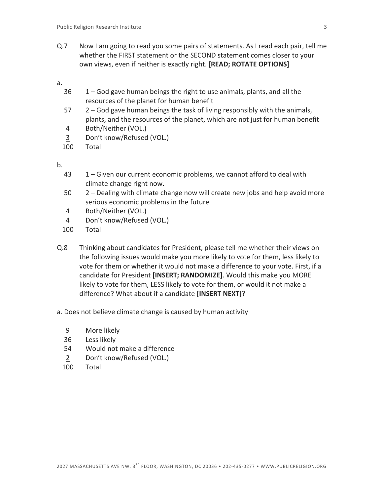Q.7 Now I am going to read you some pairs of statements. As I read each pair, tell me whether the FIRST statement or the SECOND statement comes closer to your own views, even if neither is exactly right. **[READ; ROTATE OPTIONS]** 

a. 

- $36$  1 God gave human beings the right to use animals, plants, and all the resources of the planet for human benefit
- $57 \,$  2 God gave human beings the task of living responsibly with the animals, plants, and the resources of the planet, which are not just for human benefit
- 4 Both/Neither (VOL.)
- 3 Don't know/Refused (VOL.)

100 Total

b. 

- 43 1 Given our current economic problems, we cannot afford to deal with climate change right now.
- 50 2 Dealing with climate change now will create new jobs and help avoid more serious economic problems in the future
- 4 Both/Neither (VOL.)
- 4 Don't know/Refused (VOL.)
- 100 Total
- Q.8 Thinking about candidates for President, please tell me whether their views on the following issues would make you more likely to vote for them, less likely to vote for them or whether it would not make a difference to your vote. First, if a candidate for President [INSERT; RANDOMIZE]. Would this make you MORE likely to vote for them, LESS likely to vote for them, or would it not make a difference? What about if a candidate [INSERT NEXT]?
- a. Does not believe climate change is caused by human activity
	- 9 More likely
	- 36 Less likely
	- 54 Would not make a difference
	- 2 Don't know/Refused (VOL.)
	- 100 Total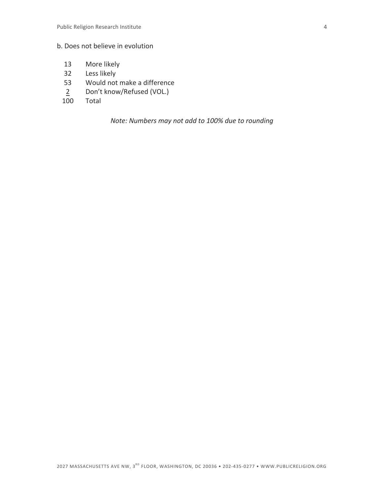## b. Does not believe in evolution

- 13 More likely
- 32 Less likely
- 53 Would not make a difference
- $\frac{2}{1}$  Don't know/Refused (VOL.)
- 100 Total

*Note:* Numbers may not add to 100% due to rounding